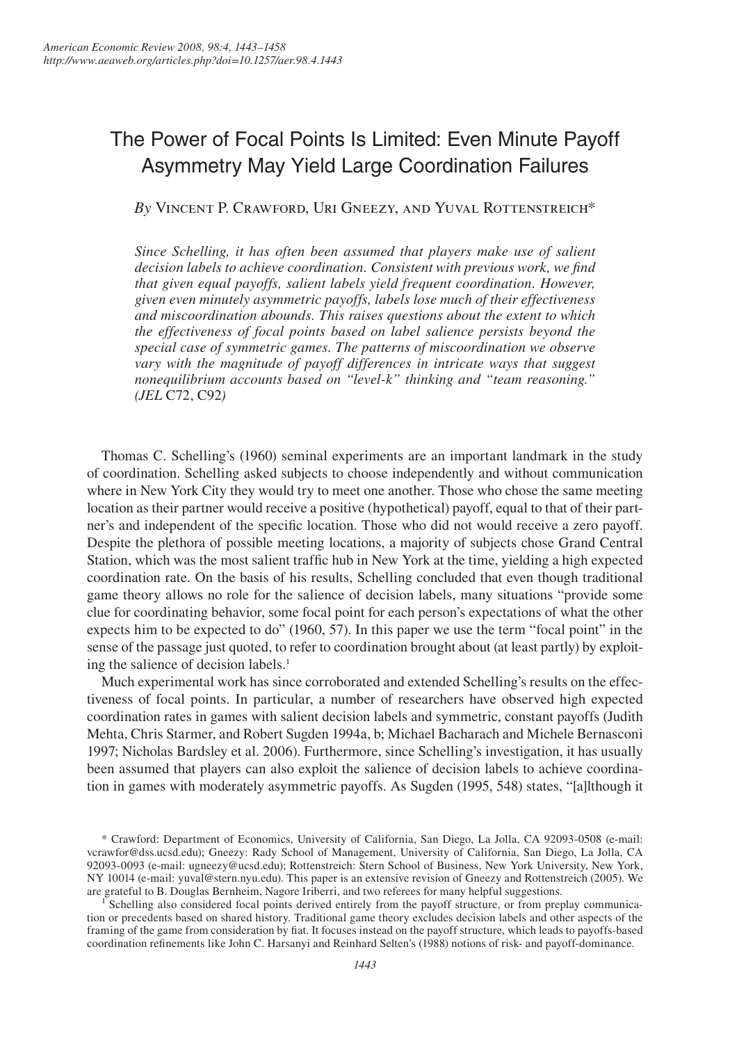# The Power of Focal Points Is Limited: Even Minute Payoff Asymmetry May Yield Large Coordination Failures

*By* Vincent P. Crawford, Uri Gneezy, and Yuval Rottenstreich\*

*Since Schelling, it has often been assumed that players make use of salient decision labels to achieve coordination. Consistent with previous work, we find that given equal payoffs, salient labels yield frequent coordination. However, given even minutely asymmetric payoffs, labels lose much of their effectiveness and miscoordination abounds. This raises questions about the extent to which the effectiveness of focal points based on label salience persists beyond the special case of symmetric games. The patterns of miscoordination we observe vary with the magnitude of payoff differences in intricate ways that suggest nonequilibrium accounts based on "level-k" thinking and "team reasoning." (JEL* C72, C92*)*

Thomas C. Schelling's (1960) seminal experiments are an important landmark in the study of coordination. Schelling asked subjects to choose independently and without communication where in New York City they would try to meet one another. Those who chose the same meeting location as their partner would receive a positive (hypothetical) payoff, equal to that of their partner's and independent of the specific location. Those who did not would receive a zero payoff. Despite the plethora of possible meeting locations, a majority of subjects chose Grand Central Station, which was the most salient traffic hub in New York at the time, yielding a high expected coordination rate. On the basis of his results, Schelling concluded that even though traditional game theory allows no role for the salience of decision labels, many situations "provide some clue for coordinating behavior, some focal point for each person's expectations of what the other expects him to be expected to do" (1960, 57). In this paper we use the term "focal point" in the sense of the passage just quoted, to refer to coordination brought about (at least partly) by exploiting the salience of decision labels.<sup>1</sup>

Much experimental work has since corroborated and extended Schelling's results on the effectiveness of focal points. In particular, a number of researchers have observed high expected coordination rates in games with salient decision labels and symmetric, constant payoffs (Judith Mehta, Chris Starmer, and Robert Sugden 1994a, b; Michael Bacharach and Michele Bernasconi 1997; Nicholas Bardsley et al. 2006). Furthermore, since Schelling's investigation, it has usually been assumed that players can also exploit the salience of decision labels to achieve coordination in games with moderately asymmetric payoffs. As Sugden (1995, 548) states, "[a]lthough it

<sup>\*</sup> Crawford: Department of Economics, University of California, San Diego, La Jolla, CA 92093-0508 (e-mail: vcrawfor@dss.ucsd.edu); Gneezy: Rady School of Management, University of California, San Diego, La Jolla, CA 92093-0093 (e-mail: ugneezy@ucsd.edu); Rottenstreich: Stern School of Business, New York University, New York, NY 10014 (e-mail: yuval@stern.nyu.edu). This paper is an extensive revision of Gneezy and Rottenstreich (2005). We are grateful to B. Douglas Bernheim, Nagore Iriberri, and two referees for many helpful suggestions.

<sup>1</sup> Schelling also considered focal points derived entirely from the payoff structure, or from preplay communication or precedents based on shared history. Traditional game theory excludes decision labels and other aspects of the framing of the game from consideration by fiat. It focuses instead on the payoff structure, which leads to payoffs-based coordination refinements like John C. Harsanyi and Reinhard Selten's (1988) notions of risk- and payoff-dominance.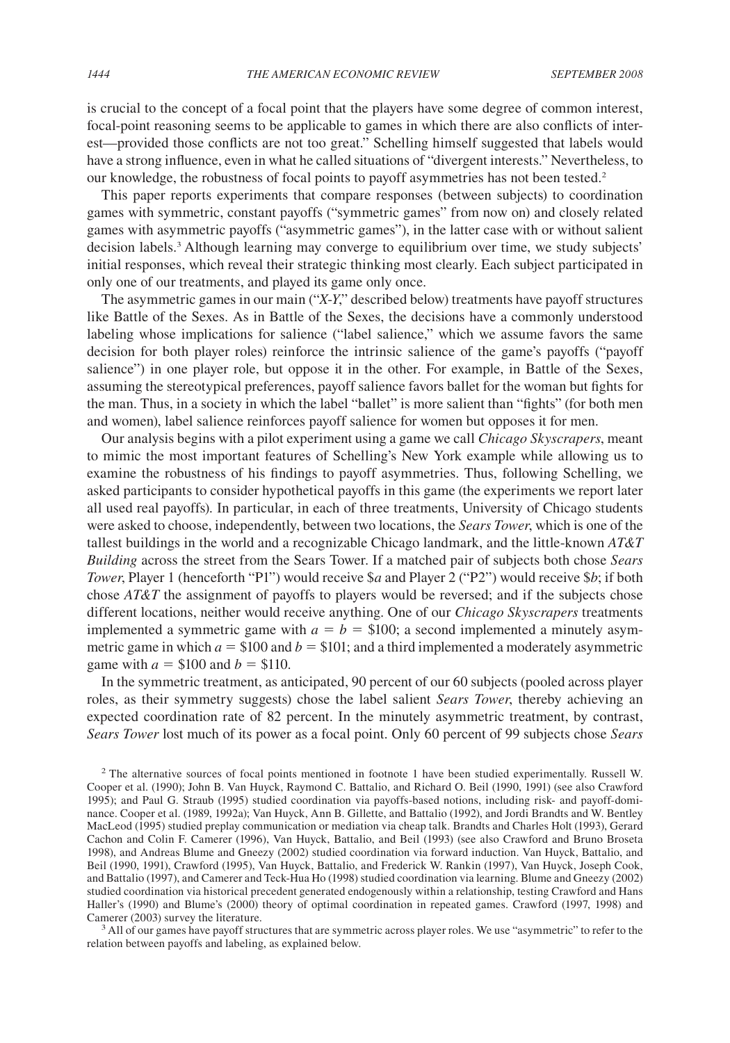is crucial to the concept of a focal point that the players have some degree of common interest, focal-point reasoning seems to be applicable to games in which there are also conflicts of interest—provided those conflicts are not too great." Schelling himself suggested that labels would have a strong influence, even in what he called situations of "divergent interests." Nevertheless, to our knowledge, the robustness of focal points to payoff asymmetries has not been tested.<sup>2</sup>

This paper reports experiments that compare responses (between subjects) to coordination games with symmetric, constant payoffs ("symmetric games" from now on) and closely related games with asymmetric payoffs ("asymmetric games"), in the latter case with or without salient decision labels.<sup>3</sup> Although learning may converge to equilibrium over time, we study subjects' initial responses, which reveal their strategic thinking most clearly. Each subject participated in only one of our treatments, and played its game only once.

The asymmetric games in our main ("*X*-*Y*," described below) treatments have payoff structures like Battle of the Sexes. As in Battle of the Sexes, the decisions have a commonly understood labeling whose implications for salience ("label salience," which we assume favors the same decision for both player roles) reinforce the intrinsic salience of the game's payoffs ("payoff salience") in one player role, but oppose it in the other. For example, in Battle of the Sexes, assuming the stereotypical preferences, payoff salience favors ballet for the woman but fights for the man. Thus, in a society in which the label "ballet" is more salient than "fights" (for both men and women), label salience reinforces payoff salience for women but opposes it for men.

Our analysis begins with a pilot experiment using a game we call *Chicago Skyscrapers*, meant to mimic the most important features of Schelling's New York example while allowing us to examine the robustness of his findings to payoff asymmetries. Thus, following Schelling, we asked participants to consider hypothetical payoffs in this game (the experiments we report later all used real payoffs). In particular, in each of three treatments, University of Chicago students were asked to choose, independently, between two locations, the *Sears Tower*, which is one of the tallest buildings in the world and a recognizable Chicago landmark, and the little-known *AT&T Building* across the street from the Sears Tower. If a matched pair of subjects both chose *Sears Tower*, Player 1 (henceforth "P1") would receive \$*a* and Player 2 ("P2") would receive \$*b*; if both chose *AT&T* the assignment of payoffs to players would be reversed; and if the subjects chose different locations, neither would receive anything. One of our *Chicago Skyscrapers* treatments implemented a symmetric game with  $a = b = $100$ ; a second implemented a minutely asymmetric game in which  $a = $100$  and  $b = $101$ ; and a third implemented a moderately asymmetric game with  $a = $100$  and  $b = $110$ .

In the symmetric treatment, as anticipated, 90 percent of our 60 subjects (pooled across player roles, as their symmetry suggests) chose the label salient *Sears Tower*, thereby achieving an expected coordination rate of 82 percent. In the minutely asymmetric treatment, by contrast, *Sears Tower* lost much of its power as a focal point. Only 60 percent of 99 subjects chose *Sears* 

<sup>3</sup> All of our games have payoff structures that are symmetric across player roles. We use "asymmetric" to refer to the relation between payoffs and labeling, as explained below.

<sup>&</sup>lt;sup>2</sup> The alternative sources of focal points mentioned in footnote 1 have been studied experimentally. Russell W. Cooper et al. (1990); John B. Van Huyck, Raymond C. Battalio, and Richard O. Beil (1990, 1991) (see also Crawford 1995); and Paul G. Straub (1995) studied coordination via payoffs-based notions, including risk- and payoff-dominance. Cooper et al. (1989, 1992a); Van Huyck, Ann B. Gillette, and Battalio (1992), and Jordi Brandts and W. Bentley MacLeod (1995) studied preplay communication or mediation via cheap talk. Brandts and Charles Holt (1993), Gerard Cachon and Colin F. Camerer (1996), Van Huyck, Battalio, and Beil (1993) (see also Crawford and Bruno Broseta 1998), and Andreas Blume and Gneezy (2002) studied coordination via forward induction. Van Huyck, Battalio, and Beil (1990, 1991), Crawford (1995), Van Huyck, Battalio, and Frederick W. Rankin (1997), Van Huyck, Joseph Cook, and Battalio (1997), and Camerer and Teck-Hua Ho (1998) studied coordination via learning. Blume and Gneezy (2002) studied coordination via historical precedent generated endogenously within a relationship, testing Crawford and Hans Haller's (1990) and Blume's (2000) theory of optimal coordination in repeated games. Crawford (1997, 1998) and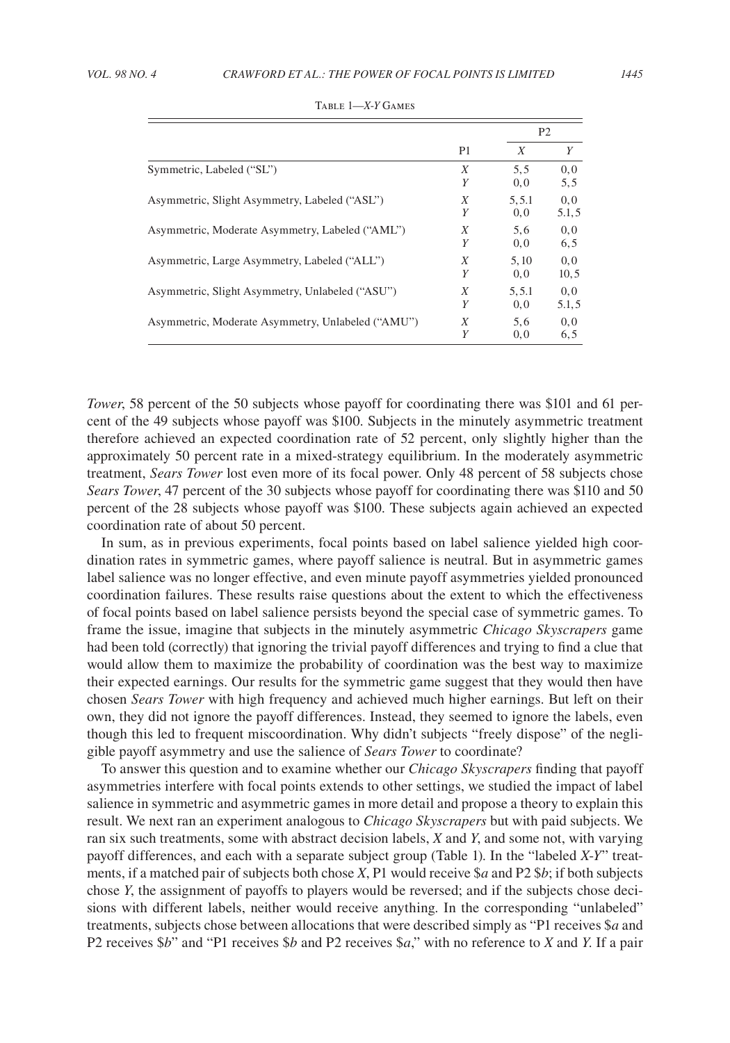|                                                   |                |       | P <sub>2</sub> |  |
|---------------------------------------------------|----------------|-------|----------------|--|
|                                                   | P <sub>1</sub> | X     | Y              |  |
| Symmetric, Labeled ("SL")                         | X              | 5.5   | 0,0            |  |
|                                                   | Y              | 0.0   | 5.5            |  |
| Asymmetric, Slight Asymmetry, Labeled ("ASL")     | X              | 5,5.1 | 0,0            |  |
|                                                   | Y              | 0.0   | 5.1, 5         |  |
| Asymmetric, Moderate Asymmetry, Labeled ("AML")   | X              | 5.6   | 0,0            |  |
|                                                   | Y              | 0,0   | 6,5            |  |
| Asymmetric, Large Asymmetry, Labeled ("ALL")      | X              | 5.10  | 0,0            |  |
|                                                   | Y              | 0.0   | 10, 5          |  |
| Asymmetric, Slight Asymmetry, Unlabeled ("ASU")   | X              | 5.5.1 | 0,0            |  |
|                                                   | Y              | 0,0   | 5.1, 5         |  |
| Asymmetric, Moderate Asymmetry, Unlabeled ("AMU") | Χ              | 5.6   | 0,0            |  |
|                                                   | Y              | 0.0   | 6,5            |  |

Table 1—*X*-*Y* Games

*Tower*, 58 percent of the 50 subjects whose payoff for coordinating there was \$101 and 61 percent of the 49 subjects whose payoff was \$100. Subjects in the minutely asymmetric treatment therefore achieved an expected coordination rate of 52 percent, only slightly higher than the approximately 50 percent rate in a mixed-strategy equilibrium. In the moderately asymmetric treatment, *Sears Tower* lost even more of its focal power. Only 48 percent of 58 subjects chose *Sears Tower*, 47 percent of the 30 subjects whose payoff for coordinating there was \$110 and 50 percent of the 28 subjects whose payoff was \$100. These subjects again achieved an expected coordination rate of about 50 percent.

In sum, as in previous experiments, focal points based on label salience yielded high coordination rates in symmetric games, where payoff salience is neutral. But in asymmetric games label salience was no longer effective, and even minute payoff asymmetries yielded pronounced coordination failures. These results raise questions about the extent to which the effectiveness of focal points based on label salience persists beyond the special case of symmetric games. To frame the issue, imagine that subjects in the minutely asymmetric *Chicago Skyscrapers* game had been told (correctly) that ignoring the trivial payoff differences and trying to find a clue that would allow them to maximize the probability of coordination was the best way to maximize their expected earnings. Our results for the symmetric game suggest that they would then have chosen *Sears Tower* with high frequency and achieved much higher earnings. But left on their own, they did not ignore the payoff differences. Instead, they seemed to ignore the labels, even though this led to frequent miscoordination. Why didn't subjects "freely dispose" of the negligible payoff asymmetry and use the salience of *Sears Tower* to coordinate?

To answer this question and to examine whether our *Chicago Skyscrapers* finding that payoff asymmetries interfere with focal points extends to other settings, we studied the impact of label salience in symmetric and asymmetric games in more detail and propose a theory to explain this result. We next ran an experiment analogous to *Chicago Skyscrapers* but with paid subjects. We ran six such treatments, some with abstract decision labels, *X* and *Y*, and some not, with varying payoff differences, and each with a separate subject group (Table 1). In the "labeled *X*-*Y*" treatments, if a matched pair of subjects both chose *X*, P1 would receive \$*a* and P2 \$*b*; if both subjects chose *Y*, the assignment of payoffs to players would be reversed; and if the subjects chose decisions with different labels, neither would receive anything. In the corresponding "unlabeled" treatments, subjects chose between allocations that were described simply as "P1 receives \$*a* and P2 receives \$*b*" and "P1 receives \$*b* and P2 receives \$*a*," with no reference to *X* and *Y*. If a pair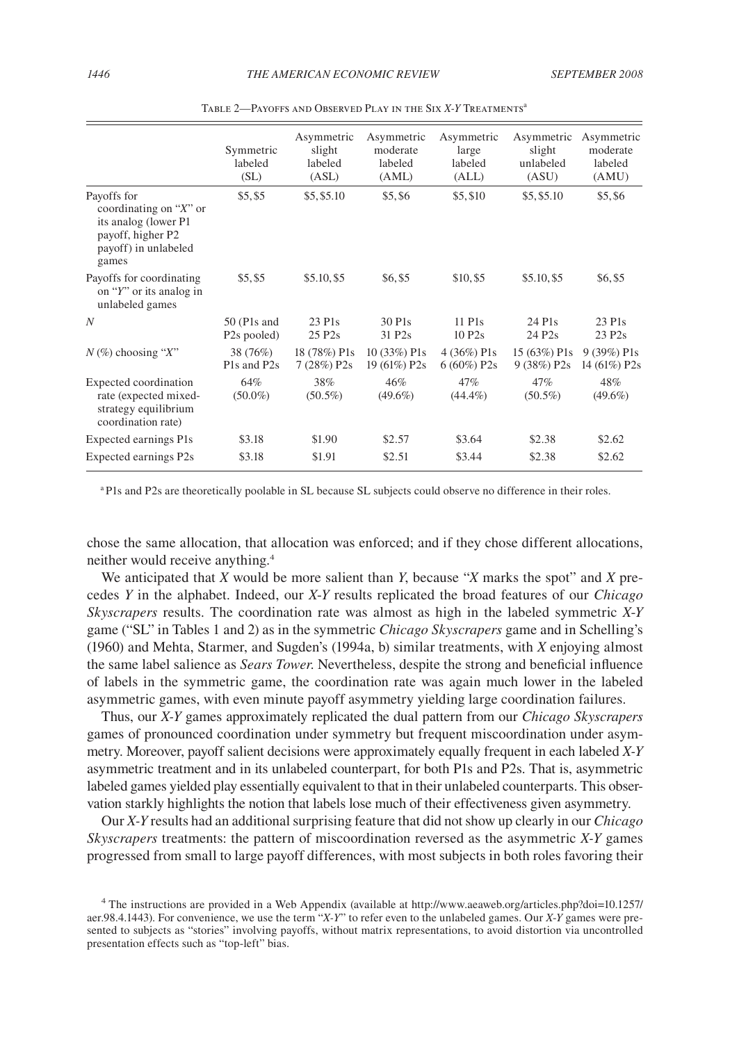|                                                                                                                         | Symmetric<br>labeled<br>(SL)           | Asymmetric<br>slight<br>labeled<br>(ASL) | Asymmetric<br>moderate<br>labeled<br>(AML) | Asymmetric<br>large<br>labeled<br>(ALL)  | Asymmetric<br>slight<br>unlabeled<br>(ASU) | Asymmetric<br>moderate<br>labeled<br>(AMU) |
|-------------------------------------------------------------------------------------------------------------------------|----------------------------------------|------------------------------------------|--------------------------------------------|------------------------------------------|--------------------------------------------|--------------------------------------------|
| Payoffs for<br>coordinating on " $X$ " or<br>its analog (lower P1<br>payoff, higher P2<br>payoff) in unlabeled<br>games | \$5, \$5                               | \$5, \$5.10                              | \$5, \$6                                   | \$5,\$10                                 | \$5, \$5.10                                | \$5, \$6                                   |
| Payoffs for coordinating<br>on "Y" or its analog in<br>unlabeled games                                                  | \$5, \$5                               | \$5.10, \$5                              | \$6,\$5                                    | \$10, \$5                                | \$5.10, \$5                                | \$6,\$5                                    |
| N                                                                                                                       | 50 (P1s and<br>P <sub>2s</sub> pooled) | 23 P <sub>1s</sub><br>25 P <sub>2s</sub> | 30 P <sub>1s</sub><br>31 P <sub>2s</sub>   | 11 P <sub>1s</sub><br>10 P <sub>2s</sub> | 24 P <sub>1s</sub><br>24 P <sub>2s</sub>   | 23 P <sub>1s</sub><br>23 P <sub>2s</sub>   |
| $N(\%)$ choosing "X"                                                                                                    | 38 (76%)<br>P1s and P2s                | 18 (78%) P1s<br>7(28%) P2s               | 10 (33%) P1s<br>19 (61%) P2s               | 4 (36%) P1s<br>$6(60\%)$ P <sub>2s</sub> | 15 (63%) P1s<br>9 (38%) P2s                | 9 (39%) P1s<br>14 (61%) P2s                |
| Expected coordination<br>rate (expected mixed-<br>strategy equilibrium<br>coordination rate)                            | 64%<br>$(50.0\%)$                      | 38%<br>$(50.5\%)$                        | 46%<br>$(49.6\%)$                          | 47%<br>$(44.4\%)$                        | 47%<br>$(50.5\%)$                          | 48%<br>$(49.6\%)$                          |
| Expected earnings P1s                                                                                                   | \$3.18                                 | \$1.90                                   | \$2.57                                     | \$3.64                                   | \$2.38                                     | \$2.62                                     |
| Expected earnings P2s                                                                                                   | \$3.18                                 | \$1.91                                   | \$2.51                                     | \$3.44                                   | \$2.38                                     | \$2.62                                     |

Table 2—Payoffs and Observed Play in the Six *X-Y* Treatments<sup>a</sup>

a P1s and P2s are theoretically poolable in SL because SL subjects could observe no difference in their roles.

chose the same allocation, that allocation was enforced; and if they chose different allocations, neither would receive anything.4

We anticipated that *X* would be more salient than *Y*, because "*X* marks the spot" and *X* precedes *Y* in the alphabet. Indeed, our *X*-*Y* results replicated the broad features of our *Chicago Skyscrapers* results. The coordination rate was almost as high in the labeled symmetric *X*-*Y* game ("SL" in Tables 1 and 2) as in the symmetric *Chicago Skyscrapers* game and in Schelling's (1960) and Mehta, Starmer, and Sugden's (1994a, b) similar treatments, with *X* enjoying almost the same label salience as *Sears Tower*. Nevertheless, despite the strong and beneficial influence of labels in the symmetric game, the coordination rate was again much lower in the labeled asymmetric games, with even minute payoff asymmetry yielding large coordination failures.

Thus, our *X-Y* games approximately replicated the dual pattern from our *Chicago Skyscrapers*  games of pronounced coordination under symmetry but frequent miscoordination under asymmetry. Moreover, payoff salient decisions were approximately equally frequent in each labeled *X-Y* asymmetric treatment and in its unlabeled counterpart, for both P1s and P2s. That is, asymmetric labeled games yielded play essentially equivalent to that in their unlabeled counterparts. This observation starkly highlights the notion that labels lose much of their effectiveness given asymmetry.

Our *X-Y* results had an additional surprising feature that did not show up clearly in our *Chicago Skyscrapers* treatments: the pattern of miscoordination reversed as the asymmetric *X-Y* games progressed from small to large payoff differences, with most subjects in both roles favoring their

<sup>4</sup> The instructions are provided in a Web Appendix (available at http://www.aeaweb.org/articles.php?doi=10.1257/ aer.98.4.1443). For convenience, we use the term "*X-Y*" to refer even to the unlabeled games. Our *X*-*Y* games were presented to subjects as "stories" involving payoffs, without matrix representations, to avoid distortion via uncontrolled presentation effects such as "top-left" bias.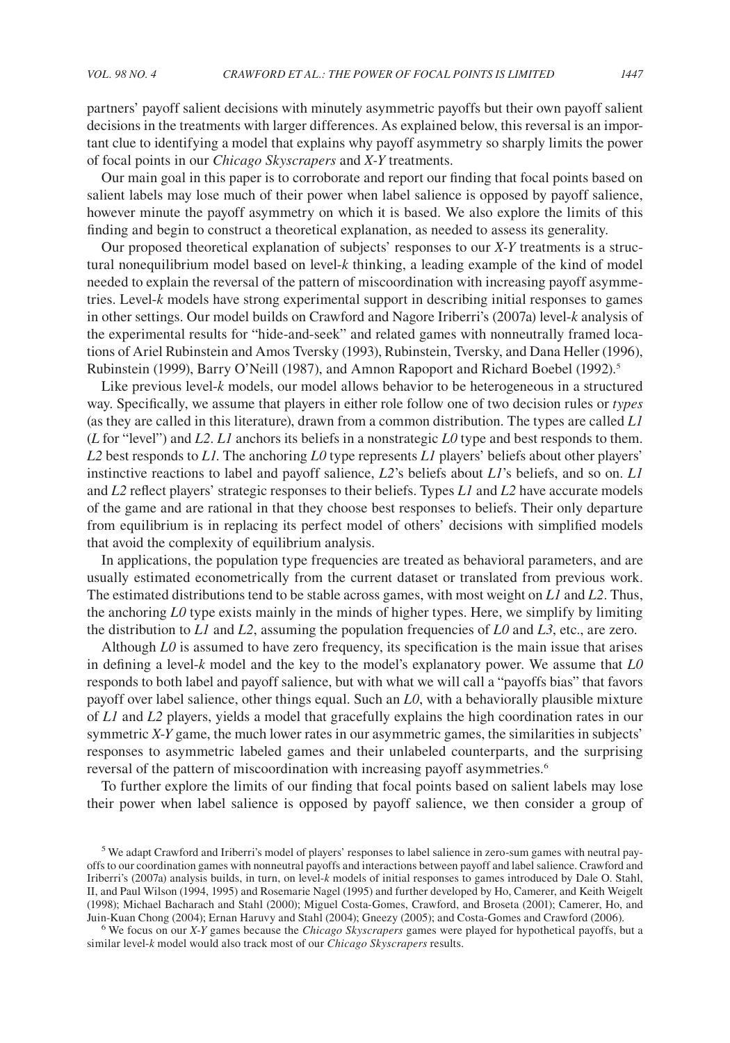partners' payoff salient decisions with minutely asymmetric payoffs but their own payoff salient decisions in the treatments with larger differences. As explained below, this reversal is an important clue to identifying a model that explains why payoff asymmetry so sharply limits the power of focal points in our *Chicago Skyscrapers* and *X-Y* treatments.

Our main goal in this paper is to corroborate and report our finding that focal points based on salient labels may lose much of their power when label salience is opposed by payoff salience, however minute the payoff asymmetry on which it is based. We also explore the limits of this finding and begin to construct a theoretical explanation, as needed to assess its generality.

Our proposed theoretical explanation of subjects' responses to our *X-Y* treatments is a structural nonequilibrium model based on level-*k* thinking, a leading example of the kind of model needed to explain the reversal of the pattern of miscoordination with increasing payoff asymmetries. Level-*k* models have strong experimental support in describing initial responses to games in other settings. Our model builds on Crawford and Nagore Iriberri's (2007a) level-*k* analysis of the experimental results for "hide-and-seek" and related games with nonneutrally framed locations of Ariel Rubinstein and Amos Tversky (1993), Rubinstein, Tversky, and Dana Heller (1996), Rubinstein (1999), Barry O'Neill (1987), and Amnon Rapoport and Richard Boebel (1992).<sup>5</sup>

Like previous level-*k* models, our model allows behavior to be heterogeneous in a structured way. Specifically, we assume that players in either role follow one of two decision rules or *types* (as they are called in this literature), drawn from a common distribution. The types are called *L1* (*L* for "level") and *L2*. *L1* anchors its beliefs in a nonstrategic *L0* type and best responds to them. *L2* best responds to *L1*. The anchoring *L0* type represents *L1* players' beliefs about other players' instinctive reactions to label and payoff salience, *L2*'s beliefs about *L1*'s beliefs, and so on. *L1* and *L2* reflect players' strategic responses to their beliefs. Types *L1* and *L2* have accurate models of the game and are rational in that they choose best responses to beliefs. Their only departure from equilibrium is in replacing its perfect model of others' decisions with simplified models that avoid the complexity of equilibrium analysis.

In applications, the population type frequencies are treated as behavioral parameters, and are usually estimated econometrically from the current dataset or translated from previous work. The estimated distributions tend to be stable across games, with most weight on *L1* and *L2*. Thus, the anchoring *L0* type exists mainly in the minds of higher types. Here, we simplify by limiting the distribution to *L1* and *L2*, assuming the population frequencies of *L0* and *L3*, etc., are zero.

Although *L0* is assumed to have zero frequency, its specification is the main issue that arises in defining a level-*k* model and the key to the model's explanatory power. We assume that *L0* responds to both label and payoff salience, but with what we will call a "payoffs bias" that favors payoff over label salience, other things equal. Such an *L0*, with a behaviorally plausible mixture of *L1* and *L2* players, yields a model that gracefully explains the high coordination rates in our symmetric *X*-*Y* game, the much lower rates in our asymmetric games, the similarities in subjects' responses to asymmetric labeled games and their unlabeled counterparts, and the surprising reversal of the pattern of miscoordination with increasing payoff asymmetries.<sup>6</sup>

To further explore the limits of our finding that focal points based on salient labels may lose their power when label salience is opposed by payoff salience, we then consider a group of

<sup>&</sup>lt;sup>5</sup> We adapt Crawford and Iriberri's model of players' responses to label salience in zero-sum games with neutral payoffs to our coordination games with nonneutral payoffs and interactions between payoff and label salience. Crawford and Iriberri's (2007a) analysis builds, in turn, on level-*k* models of initial responses to games introduced by Dale O. Stahl, II, and Paul Wilson (1994, 1995) and Rosemarie Nagel (1995) and further developed by Ho, Camerer, and Keith Weigelt (1998); Michael Bacharach and Stahl (2000); Miguel Costa-Gomes, Crawford, and Broseta (2001); Camerer, Ho, and

Juin-Kuan Chong (2004); Ernan Haruvy and Stahl (2004); Gneezy (2005); and Costa-Gomes and Crawford (2006).<br><sup>6</sup> We focus on our X-Y games because the *Chicago Skyscrapers* games were played for hypothetical payoffs, but a similar level-*k* model would also track most of our *Chicago Skyscrapers* results.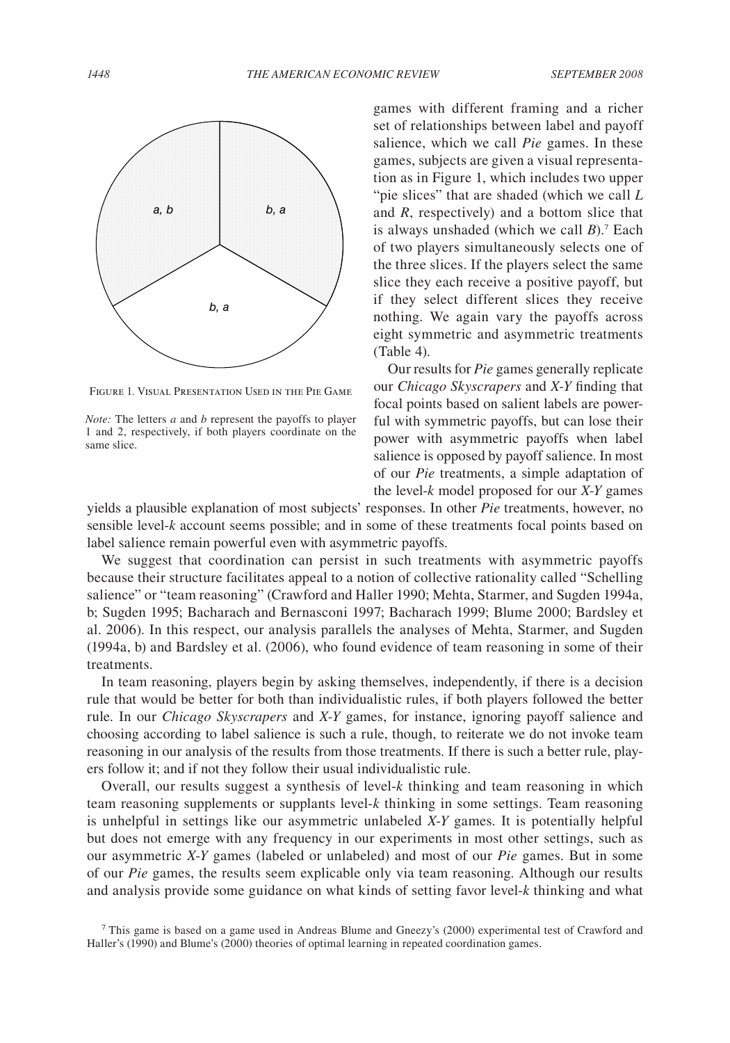

Figure 1. Visual Presentation Used in the Pie Game

games with different framing and a richer set of relationships between label and payoff salience, which we call *Pie* games. In these games, subjects are given a visual representation as in Figure 1, which includes two upper "pie slices" that are shaded (which we call *L* and *R*, respectively) and a bottom slice that is always unshaded (which we call *B*).7 Each of two players simultaneously selects one of the three slices. If the players select the same slice they each receive a positive payoff, but if they select different slices they receive nothing. We again vary the payoffs across eight symmetric and asymmetric treatments (Table 4).

Our results for *Pie* games generally replicate our *Chicago Skyscrapers* and *X-Y* finding that focal points based on salient labels are powerful with symmetric payoffs, but can lose their power with asymmetric payoffs when label salience is opposed by payoff salience. In most of our *Pie* treatments, a simple adaptation of the level-*k* model proposed for our *X*-*Y* games

yields a plausible explanation of most subjects' responses. In other *Pie* treatments, however, no sensible level-*k* account seems possible; and in some of these treatments focal points based on label salience remain powerful even with asymmetric payoffs.

We suggest that coordination can persist in such treatments with asymmetric payoffs because their structure facilitates appeal to a notion of collective rationality called "Schelling salience" or "team reasoning" (Crawford and Haller 1990; Mehta, Starmer, and Sugden 1994a, b; Sugden 1995; Bacharach and Bernasconi 1997; Bacharach 1999; Blume 2000; Bardsley et al. 2006). In this respect, our analysis parallels the analyses of Mehta, Starmer, and Sugden (1994a, b) and Bardsley et al. (2006), who found evidence of team reasoning in some of their treatments.

In team reasoning, players begin by asking themselves, independently, if there is a decision rule that would be better for both than individualistic rules, if both players followed the better rule. In our *Chicago Skyscrapers* and *X-Y* games, for instance, ignoring payoff salience and choosing according to label salience is such a rule, though, to reiterate we do not invoke team reasoning in our analysis of the results from those treatments. If there is such a better rule, players follow it; and if not they follow their usual individualistic rule.

Overall, our results suggest a synthesis of level-*k* thinking and team reasoning in which team reasoning supplements or supplants level-*k* thinking in some settings. Team reasoning is unhelpful in settings like our asymmetric unlabeled *X*-*Y* games. It is potentially helpful but does not emerge with any frequency in our experiments in most other settings, such as our asymmetric *X*-*Y* games (labeled or unlabeled) and most of our *Pie* games. But in some of our *Pie* games, the results seem explicable only via team reasoning. Although our results and analysis provide some guidance on what kinds of setting favor level-*k* thinking and what

*Note:* The letters *a* and *b* represent the payoffs to player 1 and 2, respectively, if both players coordinate on the same slice.

<sup>7</sup> This game is based on a game used in Andreas Blume and Gneezy's (2000) experimental test of Crawford and Haller's (1990) and Blume's (2000) theories of optimal learning in repeated coordination games.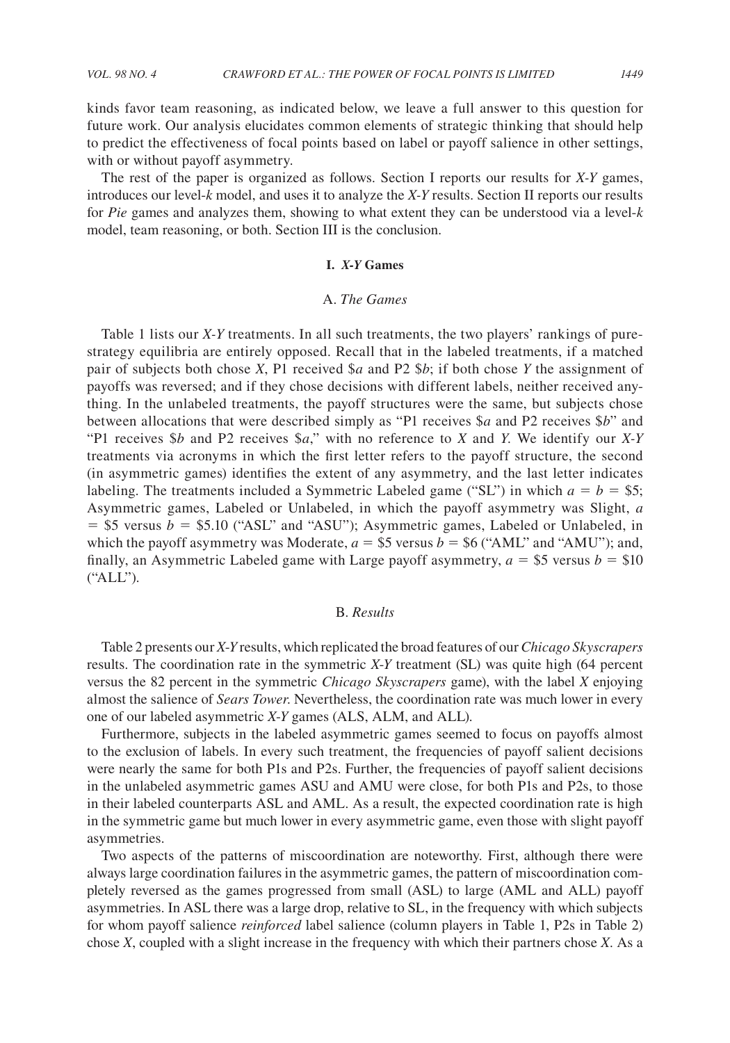kinds favor team reasoning, as indicated below, we leave a full answer to this question for future work. Our analysis elucidates common elements of strategic thinking that should help to predict the effectiveness of focal points based on label or payoff salience in other settings, with or without payoff asymmetry.

The rest of the paper is organized as follows. Section I reports our results for *X-Y* games, introduces our level-*k* model, and uses it to analyze the *X-Y* results. Section II reports our results for *Pie* games and analyzes them, showing to what extent they can be understood via a level-*k*  model, team reasoning, or both. Section III is the conclusion.

## **I.**  *X-Y* **Games**

#### A. *The Games*

Table 1 lists our *X-Y* treatments. In all such treatments, the two players' rankings of purestrategy equilibria are entirely opposed. Recall that in the labeled treatments, if a matched pair of subjects both chose *X*, P1 received \$*a* and P2 \$*b*; if both chose *Y* the assignment of payoffs was reversed; and if they chose decisions with different labels, neither received anything. In the unlabeled treatments, the payoff structures were the same, but subjects chose between allocations that were described simply as "P1 receives \$*a* and P2 receives \$*b*" and "P1 receives \$*b* and P2 receives \$*a*," with no reference to *X* and *Y*. We identify our *X-Y* treatments via acronyms in which the first letter refers to the payoff structure, the second (in asymmetric games) identifies the extent of any asymmetry, and the last letter indicates labeling. The treatments included a Symmetric Labeled game ("SL") in which  $a = b = $5$ ; Asymmetric games, Labeled or Unlabeled, in which the payoff asymmetry was Slight, *a*   $=$  \$5 versus  $b =$  \$5.10 ("ASL" and "ASU"); Asymmetric games, Labeled or Unlabeled, in which the payoff asymmetry was Moderate,  $a = $5$  versus  $b = $6$  ("AML" and "AMU"); and, finally, an Asymmetric Labeled game with Large payoff asymmetry,  $a = $5$  versus  $b = $10$ ("ALL").

# B. *Results*

Table 2 presents our *X*-*Y* results, which replicated the broad features of our *Chicago Skyscrapers* results. The coordination rate in the symmetric *X*-*Y* treatment (SL) was quite high (64 percent versus the 82 percent in the symmetric *Chicago Skyscrapers* game), with the label *X* enjoying almost the salience of *Sears Tower*. Nevertheless, the coordination rate was much lower in every one of our labeled asymmetric *X*-*Y* games (ALS, ALM, and ALL).

Furthermore, subjects in the labeled asymmetric games seemed to focus on payoffs almost to the exclusion of labels. In every such treatment, the frequencies of payoff salient decisions were nearly the same for both P1s and P2s. Further, the frequencies of payoff salient decisions in the unlabeled asymmetric games ASU and AMU were close, for both P1s and P2s, to those in their labeled counterparts ASL and AML. As a result, the expected coordination rate is high in the symmetric game but much lower in every asymmetric game, even those with slight payoff asymmetries.

Two aspects of the patterns of miscoordination are noteworthy. First, although there were always large coordination failures in the asymmetric games, the pattern of miscoordination completely reversed as the games progressed from small (ASL) to large (AML and ALL) payoff asymmetries. In ASL there was a large drop, relative to SL, in the frequency with which subjects for whom payoff salience *reinforced* label salience (column players in Table 1, P2s in Table 2) chose *X*, coupled with a slight increase in the frequency with which their partners chose *X*. As a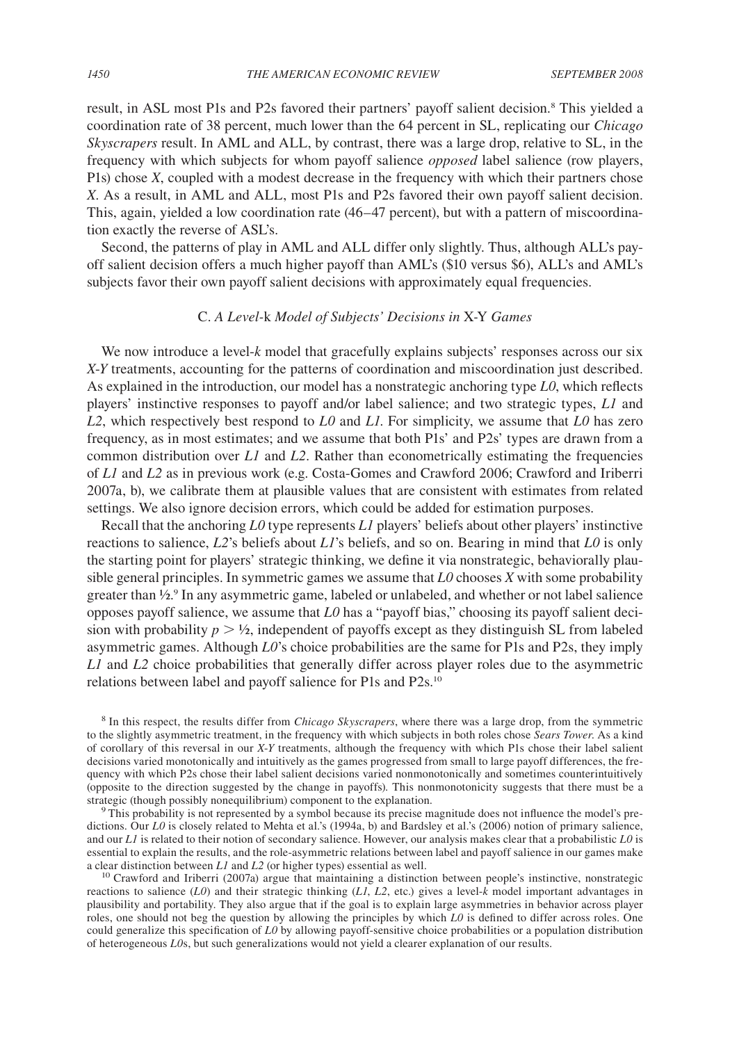result, in ASL most P1s and P2s favored their partners' payoff salient decision.<sup>8</sup> This yielded a coordination rate of 38 percent, much lower than the 64 percent in SL, replicating our *Chicago Skyscrapers* result. In AML and ALL, by contrast, there was a large drop, relative to SL, in the frequency with which subjects for whom payoff salience *opposed* label salience (row players, P1s) chose *X*, coupled with a modest decrease in the frequency with which their partners chose *X*. As a result, in AML and ALL, most P1s and P2s favored their own payoff salient decision. This, again, yielded a low coordination rate (46–47 percent), but with a pattern of miscoordination exactly the reverse of ASL's.

Second, the patterns of play in AML and ALL differ only slightly. Thus, although ALL's payoff salient decision offers a much higher payoff than AML's (\$10 versus \$6), ALL's and AML's subjects favor their own payoff salient decisions with approximately equal frequencies.

## C. *A Level-*k *Model of Subjects' Decisions in* X*-*Y *Games*

We now introduce a level-*k* model that gracefully explains subjects' responses across our six *X*-*Y* treatments, accounting for the patterns of coordination and miscoordination just described. As explained in the introduction, our model has a nonstrategic anchoring type *L0*, which reflects players' instinctive responses to payoff and/or label salience; and two strategic types, *L1* and *L2*, which respectively best respond to *L0* and *L1*. For simplicity, we assume that *L0* has zero frequency, as in most estimates; and we assume that both P1s' and P2s' types are drawn from a common distribution over *L1* and *L2*. Rather than econometrically estimating the frequencies of *L1* and *L2* as in previous work (e.g. Costa-Gomes and Crawford 2006; Crawford and Iriberri 2007a, b), we calibrate them at plausible values that are consistent with estimates from related settings. We also ignore decision errors, which could be added for estimation purposes.

Recall that the anchoring *L0* type represents *L1* players' beliefs about other players' instinctive reactions to salience, *L2*'s beliefs about *L1*'s beliefs, and so on. Bearing in mind that *L0* is only the starting point for players' strategic thinking, we define it via nonstrategic, behaviorally plausible general principles. In symmetric games we assume that *L0* chooses *X* with some probability greater than  $\frac{1}{2}$ .<sup>9</sup> In any asymmetric game, labeled or unlabeled, and whether or not label salience opposes payoff salience, we assume that *L0* has a "payoff bias," choosing its payoff salient decision with probability  $p > \frac{1}{2}$ , independent of payoffs except as they distinguish SL from labeled asymmetric games. Although *L0*'s choice probabilities are the same for P1s and P2s, they imply *L1* and *L2* choice probabilities that generally differ across player roles due to the asymmetric relations between label and payoff salience for P1s and P2s.10

<sup>8</sup> In this respect, the results differ from *Chicago Skyscrapers*, where there was a large drop, from the symmetric to the slightly asymmetric treatment, in the frequency with which subjects in both roles chose *Sears Tower*. As a kind of corollary of this reversal in our *X*-*Y* treatments, although the frequency with which P1s chose their label salient decisions varied monotonically and intuitively as the games progressed from small to large payoff differences, the frequency with which P2s chose their label salient decisions varied nonmonotonically and sometimes counterintuitively (opposite to the direction suggested by the change in payoffs). This nonmonotonicity suggests that there must be a strategic (though possibly nonequilibrium) component to the explanation.<br><sup>9</sup> This probability is not represented by a symbol because its precise magnitude does not influence the model's pre-

dictions. Our *L0* is closely related to Mehta et al.'s (1994a, b) and Bardsley et al.'s (2006) notion of primary salience, and our *L1* is related to their notion of secondary salience. However, our analysis makes clear that a probabilistic *L0* is essential to explain the results, and the role-asymmetric relations between label and payoff salience in our games make a clear distinction between *L1* and *L2* (or higher types) essential as well.<br><sup>10</sup> Crawford and Iriberri (2007a) argue that maintaining a distinction between people's instinctive, nonstrategic

reactions to salience (*L0*) and their strategic thinking (*L1*, *L2*, etc.) gives a level-*k* model important advantages in plausibility and portability. They also argue that if the goal is to explain large asymmetries in behavior across player roles, one should not beg the question by allowing the principles by which *L0* is defined to differ across roles. One could generalize this specification of *L0* by allowing payoff-sensitive choice probabilities or a population distribution of heterogeneous *L0*s, but such generalizations would not yield a clearer explanation of our results.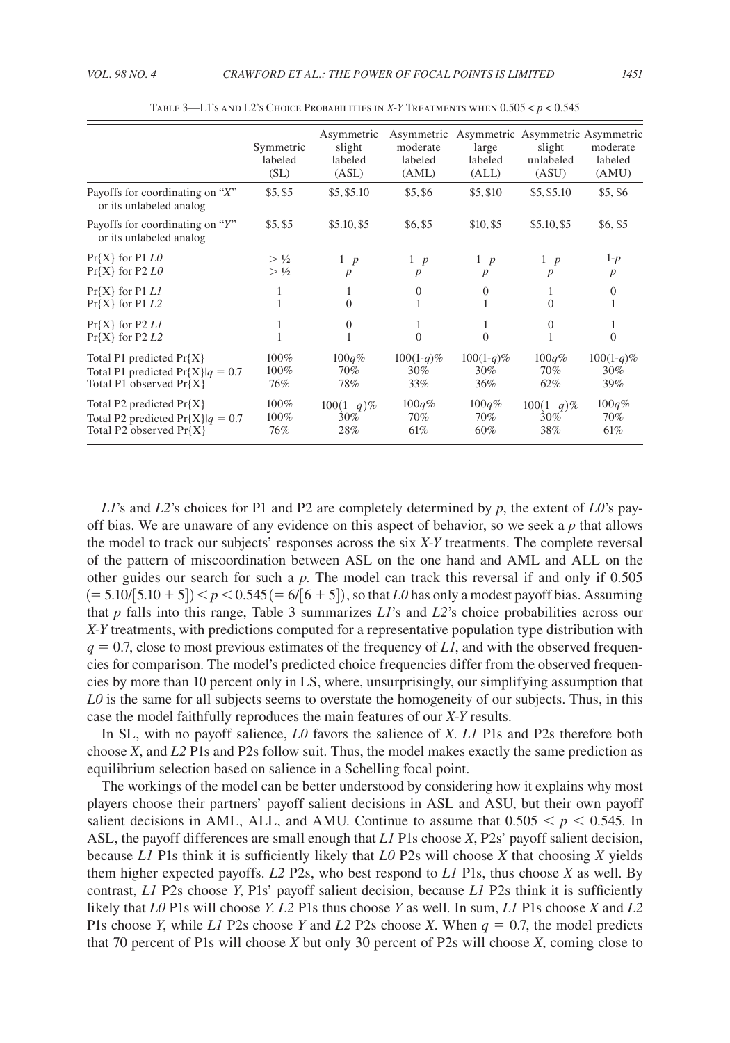|                                                                                               | Symmetric<br>labeled<br>(SL) | Asymmetric<br>slight<br>labeled<br>(ASL) | moderate<br>labeled<br>(AML) | large<br>labeled<br>(ALL)  | Asymmetric Asymmetric Asymmetric Asymmetric<br>slight<br>unlabeled<br>(ASU) | moderate<br>labeled<br>(AMU) |
|-----------------------------------------------------------------------------------------------|------------------------------|------------------------------------------|------------------------------|----------------------------|-----------------------------------------------------------------------------|------------------------------|
| Payoffs for coordinating on " $X$ "<br>or its unlabeled analog                                | \$5, \$5                     | \$5, \$5.10                              | \$5, \$6                     | \$5,\$10                   | \$5, \$5.10                                                                 | \$5, \$6                     |
| Payoffs for coordinating on "Y"<br>or its unlabeled analog                                    | \$5, \$5                     | \$5.10, \$5                              | \$6,\$5                      | \$10, \$5                  | \$5.10, \$5                                                                 | \$6, \$5                     |
| $Pr{X}$ for P1 L0<br>$Pr{X}$ for P2 L0                                                        | >1/2<br>>1/2                 | $1-p$<br>$\boldsymbol{p}$                | $1-p$<br>$\boldsymbol{p}$    | $1-p$<br>$\boldsymbol{p}$  | $1-p$<br>$\boldsymbol{p}$                                                   | $1-p$<br>$\boldsymbol{p}$    |
| $Pr{X}$ for P1 L1<br>$Pr{X}$ for P1 $L2$                                                      |                              | 1<br>$\Omega$                            | $\overline{0}$               | $\Omega$                   | 1<br>$\theta$                                                               | $\Omega$                     |
| $Pr{X}$ for P2 L1<br>$Pr{X}$ for P2 $L2$                                                      |                              | $\Omega$                                 | 1<br>$\theta$                | 1<br>$\Omega$              | 0                                                                           | $\Omega$                     |
| Total P1 predicted $Pr{X}$<br>Total P1 predicted $Pr{X q = 0.7}$<br>Total P1 observed $Pr{X}$ | 100%<br>100%<br>76%          | 100q%<br>70%<br>78%                      | $100(1-q)\%$<br>30%<br>33%   | $100(1-q)\%$<br>30%<br>36% | 100q%<br>70%<br>62%                                                         | $100(1-q)\%$<br>30%<br>39%   |
| Total P2 predicted $Pr{X}$<br>Total P2 predicted $Pr{X q = 0.7}$<br>Total P2 observed $Pr{X}$ | 100%<br>100%<br>76%          | $100(1-q)\%$<br>$30\%$<br>28%            | 100q%<br>70%<br>61%          | 100q%<br>70%<br>60%        | $100(1-q)\%$<br>30%<br>38%                                                  | 100q%<br>70%<br>61%          |

Table 3—L1's and L2's Choice Probabilities in *X-Y* Treatments when 0.505 < *p* < 0.545

*L1*'s and *L2*'s choices for P1 and P2 are completely determined by *p*, the extent of *L0*'s payoff bias. We are unaware of any evidence on this aspect of behavior, so we seek a *p* that allows the model to track our subjects' responses across the six *X*-*Y* treatments. The complete reversal of the pattern of miscoordination between ASL on the one hand and AML and ALL on the other guides our search for such a *p*. The model can track this reversal if and only if 0.505  $(15.10/5.10 + 5)$   $\lt p \lt 0.545$  (= 6/[6 + 5]), so that *L0* has only a modest payoff bias. Assuming that *p* falls into this range, Table 3 summarizes *L1*'s and *L2*'s choice probabilities across our *X*-*Y* treatments, with predictions computed for a representative population type distribution with  $q = 0.7$ , close to most previous estimates of the frequency of *L1*, and with the observed frequencies for comparison. The model's predicted choice frequencies differ from the observed frequencies by more than 10 percent only in LS, where, unsurprisingly, our simplifying assumption that *L0* is the same for all subjects seems to overstate the homogeneity of our subjects. Thus, in this case the model faithfully reproduces the main features of our *X*-*Y* results.

In SL, with no payoff salience, *L0* favors the salience of *X*. *L1* P1s and P2s therefore both choose *X*, and *L2* P1s and P2s follow suit. Thus, the model makes exactly the same prediction as equilibrium selection based on salience in a Schelling focal point.

The workings of the model can be better understood by considering how it explains why most players choose their partners' payoff salient decisions in ASL and ASU, but their own payoff salient decisions in AML, ALL, and AMU. Continue to assume that  $0.505 < p < 0.545$ . In ASL, the payoff differences are small enough that *L1* P1s choose *X*, P2s' payoff salient decision, because *L1* P1s think it is sufficiently likely that *L0* P2s will choose *X* that choosing *X* yields them higher expected payoffs. *L2* P2s, who best respond to *L1* P1s, thus choose *X* as well. By contrast, *L1* P2s choose *Y*, P1s' payoff salient decision, because *L1* P2s think it is sufficiently likely that *L0* P1s will choose *Y*. *L2* P1s thus choose *Y* as well. In sum, *L1* P1s choose *X* and *L2* P1s choose *Y*, while *L1* P2s choose *Y* and *L2* P2s choose *X*. When  $q = 0.7$ , the model predicts that 70 percent of P1s will choose *X* but only 30 percent of P2s will choose *X*, coming close to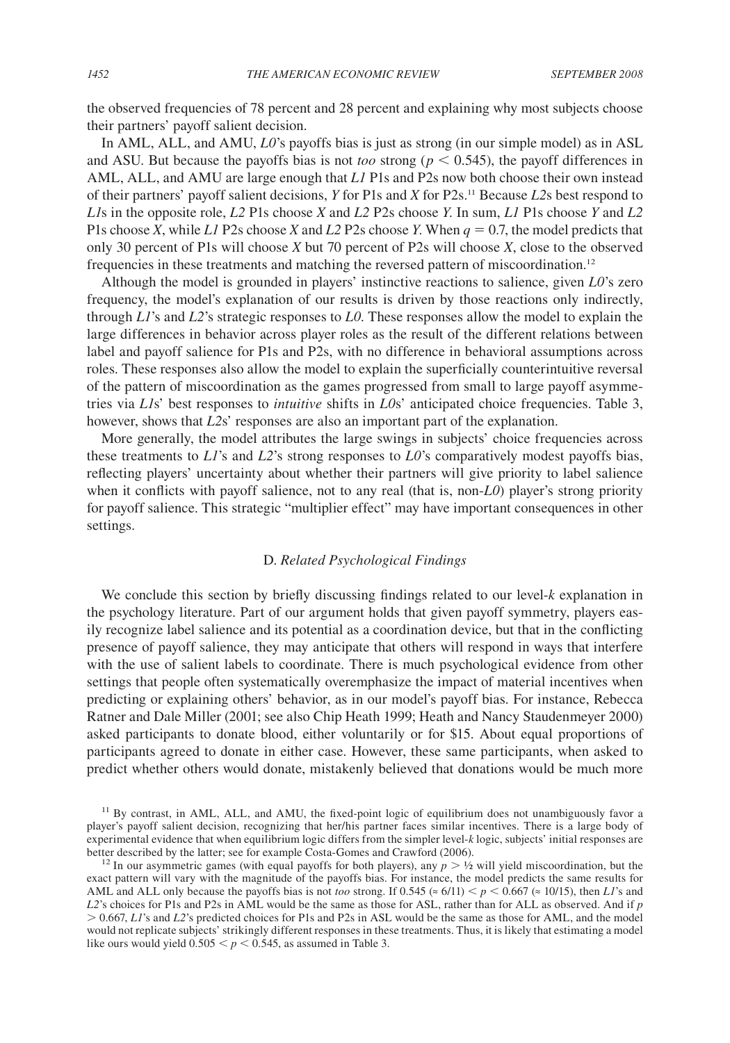the observed frequencies of 78 percent and 28 percent and explaining why most subjects choose their partners' payoff salient decision.

In AML, ALL, and AMU, *L0*'s payoffs bias is just as strong (in our simple model) as in ASL and ASU. But because the payoffs bias is not *too* strong ( $p < 0.545$ ), the payoff differences in AML, ALL, and AMU are large enough that *L1* P1s and P2s now both choose their own instead of their partners' payoff salient decisions, *Y* for P1s and *X* for P2s.11 Because *L2*s best respond to *L1*s in the opposite role, *L2* P1s choose *X* and *L2* P2s choose *Y*. In sum, *L1* P1s choose *Y* and *L2* P1s choose *X*, while *L1* P2s choose *X* and *L2* P2s choose *Y*. When  $q = 0.7$ , the model predicts that only 30 percent of P1s will choose *X* but 70 percent of P2s will choose *X*, close to the observed frequencies in these treatments and matching the reversed pattern of miscoordination.<sup>12</sup>

Although the model is grounded in players' instinctive reactions to salience, given *L0*'s zero frequency, the model's explanation of our results is driven by those reactions only indirectly, through *L1*'s and *L2*'s strategic responses to *L0*. These responses allow the model to explain the large differences in behavior across player roles as the result of the different relations between label and payoff salience for P1s and P2s, with no difference in behavioral assumptions across roles. These responses also allow the model to explain the superficially counterintuitive reversal of the pattern of miscoordination as the games progressed from small to large payoff asymmetries via *L1*s' best responses to *intuitive* shifts in *L0*s' anticipated choice frequencies. Table 3, however, shows that *L2*s' responses are also an important part of the explanation.

More generally, the model attributes the large swings in subjects' choice frequencies across these treatments to *L1*'s and *L2*'s strong responses to *L0*'s comparatively modest payoffs bias, reflecting players' uncertainty about whether their partners will give priority to label salience when it conflicts with payoff salience, not to any real (that is, non-*L0*) player's strong priority for payoff salience. This strategic "multiplier effect" may have important consequences in other settings.

## D. *Related Psychological Findings*

We conclude this section by briefly discussing findings related to our level-*k* explanation in the psychology literature. Part of our argument holds that given payoff symmetry, players easily recognize label salience and its potential as a coordination device, but that in the conflicting presence of payoff salience, they may anticipate that others will respond in ways that interfere with the use of salient labels to coordinate. There is much psychological evidence from other settings that people often systematically overemphasize the impact of material incentives when predicting or explaining others' behavior, as in our model's payoff bias. For instance, Rebecca Ratner and Dale Miller (2001; see also Chip Heath 1999; Heath and Nancy Staudenmeyer 2000) asked participants to donate blood, either voluntarily or for \$15. About equal proportions of participants agreed to donate in either case. However, these same participants, when asked to predict whether others would donate, mistakenly believed that donations would be much more

<sup>&</sup>lt;sup>11</sup> By contrast, in AML, ALL, and AMU, the fixed-point logic of equilibrium does not unambiguously favor a player's payoff salient decision, recognizing that her/his partner faces similar incentives. There is a large body of experimental evidence that when equilibrium logic differs from the simpler level-*k* logic, subjects' initial responses are better described by the latter; see for example Costa-Gomes and Crawford (2006).<br><sup>12</sup> In our asymmetric games (with equal payoffs for both players), any  $p > \frac{1}{2}$  will yield miscoordination, but the

exact pattern will vary with the magnitude of the payoffs bias. For instance, the model predicts the same results for AML and ALL only because the payoffs bias is not *too* strong. If 0.545 ( $\approx$  6/11)  $\lt p \lt 0.667$  ( $\approx$  10/15), then *L1*'s and *L2*'s choices for P1s and P2s in AML would be the same as those for ASL, rather than for ALL as observed. And if *p* . 0.667, *L1*'s and *L2*'s predicted choices for P1s and P2s in ASL would be the same as those for AML, and the model would not replicate subjects' strikingly different responses in these treatments. Thus, it is likely that estimating a model like ours would yield  $0.505 < p < 0.545$ , as assumed in Table 3.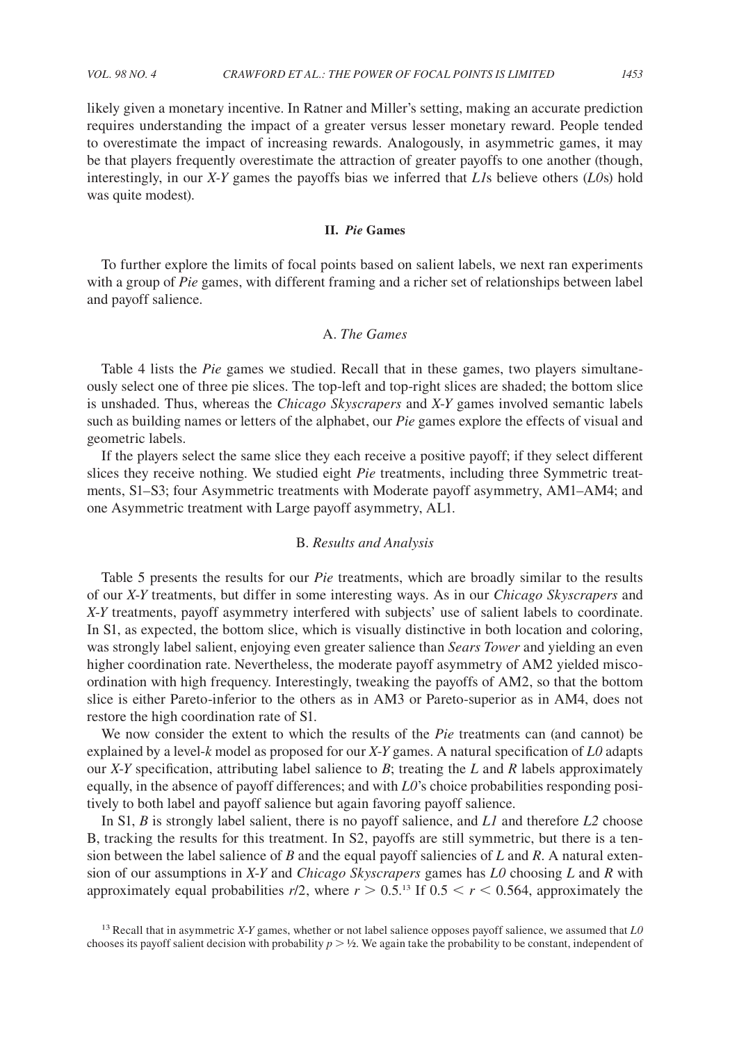likely given a monetary incentive. In Ratner and Miller's setting, making an accurate prediction requires understanding the impact of a greater versus lesser monetary reward. People tended to overestimate the impact of increasing rewards. Analogously, in asymmetric games, it may be that players frequently overestimate the attraction of greater payoffs to one another (though, interestingly, in our *X-Y* games the payoffs bias we inferred that *L1*s believe others (*L0*s) hold was quite modest).

# **II.**  *Pie* **Games**

To further explore the limits of focal points based on salient labels, we next ran experiments with a group of *Pie* games, with different framing and a richer set of relationships between label and payoff salience.

# A. *The Games*

Table 4 lists the *Pie* games we studied. Recall that in these games, two players simultaneously select one of three pie slices. The top-left and top-right slices are shaded; the bottom slice is unshaded. Thus, whereas the *Chicago Skyscrapers* and *X*-*Y* games involved semantic labels such as building names or letters of the alphabet, our *Pie* games explore the effects of visual and geometric labels.

If the players select the same slice they each receive a positive payoff; if they select different slices they receive nothing. We studied eight *Pie* treatments, including three Symmetric treatments, S1–S3; four Asymmetric treatments with Moderate payoff asymmetry, AM1–AM4; and one Asymmetric treatment with Large payoff asymmetry, AL1.

## B. *Results and Analysis*

Table 5 presents the results for our *Pie* treatments, which are broadly similar to the results of our *X*-*Y* treatments, but differ in some interesting ways. As in our *Chicago Skyscrapers* and *X*-*Y* treatments, payoff asymmetry interfered with subjects' use of salient labels to coordinate. In S1, as expected, the bottom slice, which is visually distinctive in both location and coloring, was strongly label salient, enjoying even greater salience than *Sears Tower* and yielding an even higher coordination rate. Nevertheless, the moderate payoff asymmetry of AM2 yielded miscoordination with high frequency. Interestingly, tweaking the payoffs of AM2, so that the bottom slice is either Pareto-inferior to the others as in AM3 or Pareto-superior as in AM4, does not restore the high coordination rate of S1.

We now consider the extent to which the results of the *Pie* treatments can (and cannot) be explained by a level-*k* model as proposed for our *X*-*Y* games. A natural specification of *L0* adapts our *X-Y* specification, attributing label salience to  $B$ ; treating the  $L$  and  $R$  labels approximately equally, in the absence of payoff differences; and with *L0*'s choice probabilities responding positively to both label and payoff salience but again favoring payoff salience.

In S1, *B* is strongly label salient, there is no payoff salience, and *L1* and therefore *L2* choose B, tracking the results for this treatment. In S2, payoffs are still symmetric, but there is a tension between the label salience of *B* and the equal payoff saliencies of *L* and *R*. A natural extension of our assumptions in *X*-*Y* and *Chicago Skyscrapers* games has *L0* choosing *L* and *R* with approximately equal probabilities  $r/2$ , where  $r > 0.5$ .<sup>13</sup> If  $0.5 < r < 0.564$ , approximately the

13 Recall that in asymmetric *X*-*Y* games, whether or not label salience opposes payoff salience, we assumed that *L0* chooses its payoff salient decision with probability  $p > \frac{1}{2}$ . We again take the probability to be constant, independent of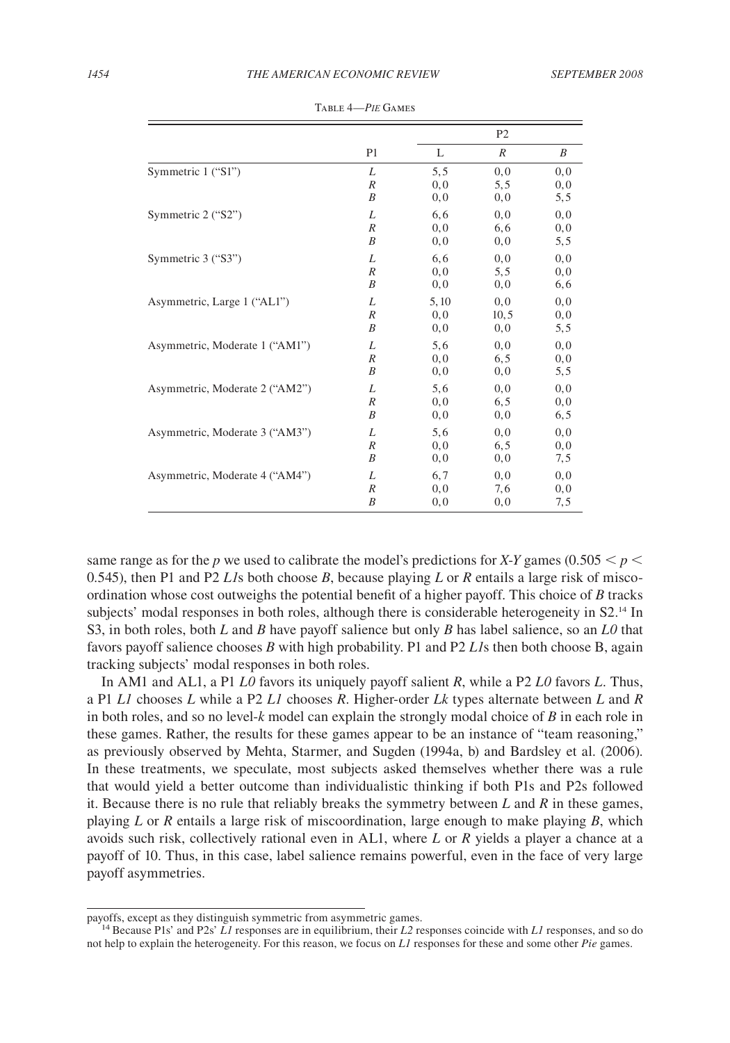|                                |                  |      | P <sub>2</sub> |      |
|--------------------------------|------------------|------|----------------|------|
|                                | P <sub>1</sub>   | L    | R              | B    |
| Symmetric 1 ("S1")             | L                | 5, 5 | 0,0            | 0, 0 |
|                                | R                | 0,0  | 5, 5           | 0, 0 |
|                                | B                | 0,0  | 0, 0           | 5, 5 |
| Symmetric 2 ("S2")             | L                | 6,6  | 0,0            | 0,0  |
|                                | $\boldsymbol{R}$ | 0,0  | 6,6            | 0, 0 |
|                                | B                | 0,0  | 0,0            | 5, 5 |
| Symmetric 3 ("S3")             | L                | 6,6  | 0,0            | 0,0  |
|                                | R                | 0,0  | 5, 5           | 0, 0 |
|                                | B                | 0,0  | 0,0            | 6,6  |
| Asymmetric, Large 1 ("AL1")    | L                | 5,10 | 0,0            | 0, 0 |
|                                | R                | 0,0  | 10, 5          | 0, 0 |
|                                | $\boldsymbol{B}$ | 0,0  | 0, 0           | 5, 5 |
| Asymmetric, Moderate 1 ("AM1") | L                | 5.6  | 0,0            | 0, 0 |
|                                | R                | 0,0  | 6.5            | 0, 0 |
|                                | $\boldsymbol{B}$ | 0,0  | 0, 0           | 5, 5 |
| Asymmetric, Moderate 2 ("AM2") | L                | 5.6  | 0,0            | 0,0  |
|                                | R                | 0,0  | 6.5            | 0, 0 |
|                                | $\boldsymbol{B}$ | 0,0  | 0, 0           | 6, 5 |
| Asymmetric, Moderate 3 ("AM3") | L                | 5.6  | 0,0            | 0,0  |
|                                | R                | 0,0  | 6, 5           | 0, 0 |
|                                | $\boldsymbol{B}$ | 0,0  | 0,0            | 7, 5 |
| Asymmetric, Moderate 4 ("AM4") | L                | 6,7  | 0,0            | 0,0  |
|                                | R                | 0,0  | 7,6            | 0, 0 |
|                                | B                | 0,0  | 0,0            | 7, 5 |

Table 4—*Pie* Games

same range as for the *p* we used to calibrate the model's predictions for *X-Y* games (0.505  $\lt p \lt$ 0.545), then P1 and P2 *L1*s both choose *B*, because playing *L* or *R* entails a large risk of miscoordination whose cost outweighs the potential benefit of a higher payoff. This choice of *B* tracks subjects' modal responses in both roles, although there is considerable heterogeneity in S2.<sup>14</sup> In S3, in both roles, both *L* and *B* have payoff salience but only *B* has label salience, so an *L0* that favors payoff salience chooses *B* with high probability. P1 and P2 *L1*s then both choose B, again tracking subjects' modal responses in both roles.

In AM1 and AL1, a P1 *L0* favors its uniquely payoff salient *R*, while a P2 *L0* favors *L*. Thus, a P1 *L1* chooses *L* while a P2 *L1* chooses *R*. Higher-order *Lk* types alternate between *L* and *R* in both roles, and so no level-*k* model can explain the strongly modal choice of *B* in each role in these games. Rather, the results for these games appear to be an instance of "team reasoning," as previously observed by Mehta, Starmer, and Sugden (1994a, b) and Bardsley et al. (2006). In these treatments, we speculate, most subjects asked themselves whether there was a rule that would yield a better outcome than individualistic thinking if both P1s and P2s followed it. Because there is no rule that reliably breaks the symmetry between *L* and *R* in these games, playing *L* or *R* entails a large risk of miscoordination, large enough to make playing *B*, which avoids such risk, collectively rational even in AL1, where *L* or *R* yields a player a chance at a payoff of 10. Thus, in this case, label salience remains powerful, even in the face of very large payoff asymmetries.

payoffs, except as they distinguish symmetric from asymmetric games. 14 Because P1s' and P2s' *L1* responses are in equilibrium, their *L2* responses coincide with *L1* responses, and so do not help to explain the heterogeneity. For this reason, we focus on *L1* responses for these and some other *Pie* games.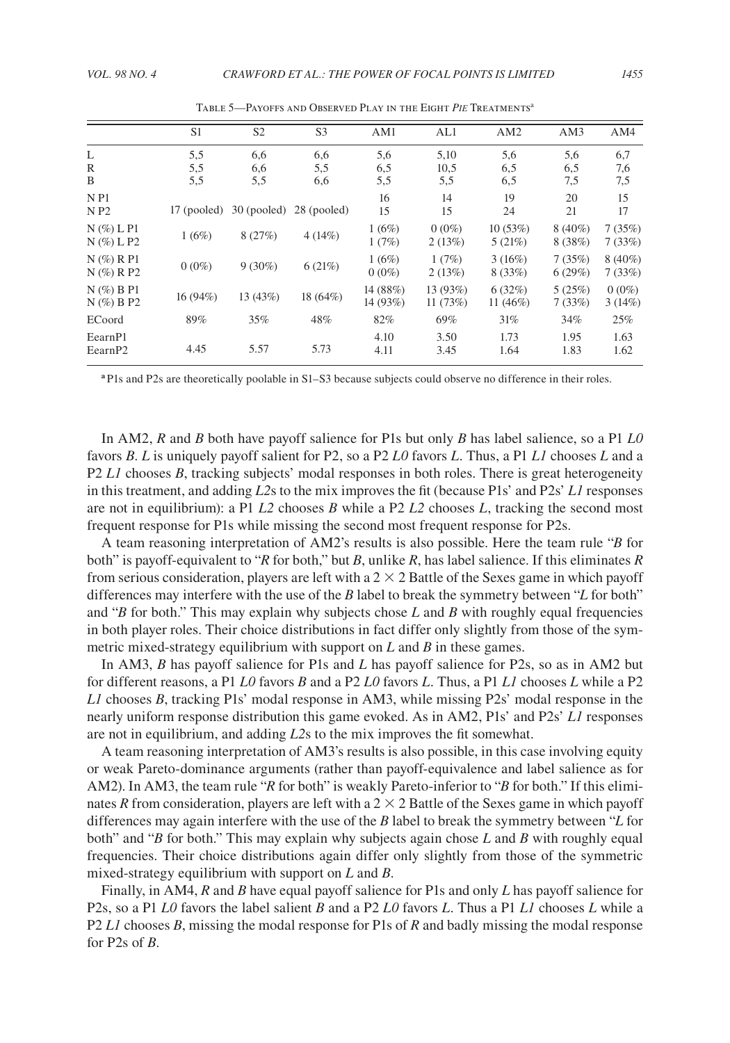|                     | S <sub>1</sub> | S <sub>2</sub> | S <sub>3</sub>          | AM1      | AL1      | AM2        | AM3       | AM4       |
|---------------------|----------------|----------------|-------------------------|----------|----------|------------|-----------|-----------|
| L                   | 5,5            | 6,6            | 6,6                     | 5,6      | 5,10     | 5,6        | 5,6       | 6,7       |
| R                   | 5,5            | 6,6            | 5,5                     | 6,5      | 10,5     | 6,5        | 6,5       | 7,6       |
| B                   | 5,5            | 5,5            | 6,6                     | 5,5      | 5,5      | 6,5        | 7,5       | 7,5       |
| N <sub>P1</sub>     |                |                |                         | 16       | 14       | 19         | 20        | 15        |
| NP2                 | $17$ (pooled)  |                | 30 (pooled) 28 (pooled) | 15       | 15       | 24         | 21        | 17        |
| $N$ (%) L P1        |                |                |                         | 1(6%)    | $0(0\%)$ | 10(53%)    | $8(40\%)$ | 7(35%)    |
| $N$ (%) L P2        | 1(6%)          | 8(27%)         | 4(14%)                  | 1(7%)    | 2(13%)   | 5(21%)     | 8(38%)    | 7(33%)    |
| $N$ (%) R P1        |                |                |                         | 1(6%)    | 1(7%)    | 3(16%)     | 7(35%)    | $8(40\%)$ |
| $N$ (%) R P2        | $0(0\%)$       | $9(30\%)$      | 6(21%)                  | $0(0\%)$ | 2(13%)   | 8(33%)     | 6(29%)    | 7(33%)    |
| $N$ (%) B P1        |                |                |                         | 14 (88%) | 13 (93%) | 6(32%)     | 5(25%)    | $0(0\%)$  |
| $N$ (%) B P2        | 16(94%)        | 13 (43%)       | 18 (64%)                | 14 (93%) | 11(73%)  | 11 $(46%)$ | 7(33%)    | 3(14%)    |
| ECoord              | 89%            | 35%            | 48%                     | 82%      | 69%      | 31%        | 34%       | 25%       |
| EearnP1             |                |                |                         | 4.10     | 3.50     | 1.73       | 1.95      | 1.63      |
| EearnP <sub>2</sub> | 4.45           | 5.57           | 5.73                    | 4.11     | 3.45     | 1.64       | 1.83      | 1.62      |
|                     |                |                |                         |          |          |            |           |           |

Table 5—Payoffs and Observed Play in the Eight *Pie* Treatments<sup>a</sup>

**<sup>a</sup>** P1s and P2s are theoretically poolable in S1–S3 because subjects could observe no difference in their roles.

In AM2, *R* and *B* both have payoff salience for P1s but only *B* has label salience, so a P1 *L0* favors *B*. *L* is uniquely payoff salient for P2, so a P2 *L0* favors *L*. Thus, a P1 *L1* chooses *L* and a P2 *L1* chooses *B*, tracking subjects' modal responses in both roles. There is great heterogeneity in this treatment, and adding *L2*s to the mix improves the fit (because P1s' and P2s' *L1* responses are not in equilibrium): a P1 *L2* chooses *B* while a P2 *L2* chooses *L*, tracking the second most frequent response for P1s while missing the second most frequent response for P2s.

A team reasoning interpretation of AM2's results is also possible. Here the team rule "*B* for both" is payoff-equivalent to "*R* for both," but *B*, unlike *R*, has label salience. If this eliminates *R* from serious consideration, players are left with a  $2 \times 2$  Battle of the Sexes game in which payoff differences may interfere with the use of the *B* label to break the symmetry between "*L* for both" and "*B* for both." This may explain why subjects chose *L* and *B* with roughly equal frequencies in both player roles. Their choice distributions in fact differ only slightly from those of the symmetric mixed-strategy equilibrium with support on *L* and *B* in these games.

In AM3, *B* has payoff salience for P1s and *L* has payoff salience for P2s, so as in AM2 but for different reasons, a P1 *L0* favors *B* and a P2 *L0* favors *L*. Thus, a P1 *L1* chooses *L* while a P2 *L1* chooses *B*, tracking P1s' modal response in AM3, while missing P2s' modal response in the nearly uniform response distribution this game evoked. As in AM2, P1s' and P2s' *L1* responses are not in equilibrium, and adding *L2*s to the mix improves the fit somewhat.

A team reasoning interpretation of AM3's results is also possible, in this case involving equity or weak Pareto-dominance arguments (rather than payoff-equivalence and label salience as for AM2). In AM3, the team rule "*R* for both" is weakly Pareto-inferior to "*B* for both." If this eliminates *R* from consideration, players are left with a  $2 \times 2$  Battle of the Sexes game in which payoff differences may again interfere with the use of the *B* label to break the symmetry between "*L* for both" and "*B* for both." This may explain why subjects again chose *L* and *B* with roughly equal frequencies. Their choice distributions again differ only slightly from those of the symmetric mixed-strategy equilibrium with support on *L* and *B*.

Finally, in AM4, *R* and *B* have equal payoff salience for P1s and only *L* has payoff salience for P2s, so a P1 *L0* favors the label salient *B* and a P2 *L0* favors *L*. Thus a P1 *L1* chooses *L* while a P2 *L1* chooses *B*, missing the modal response for P1s of *R* and badly missing the modal response for P2s of *B*.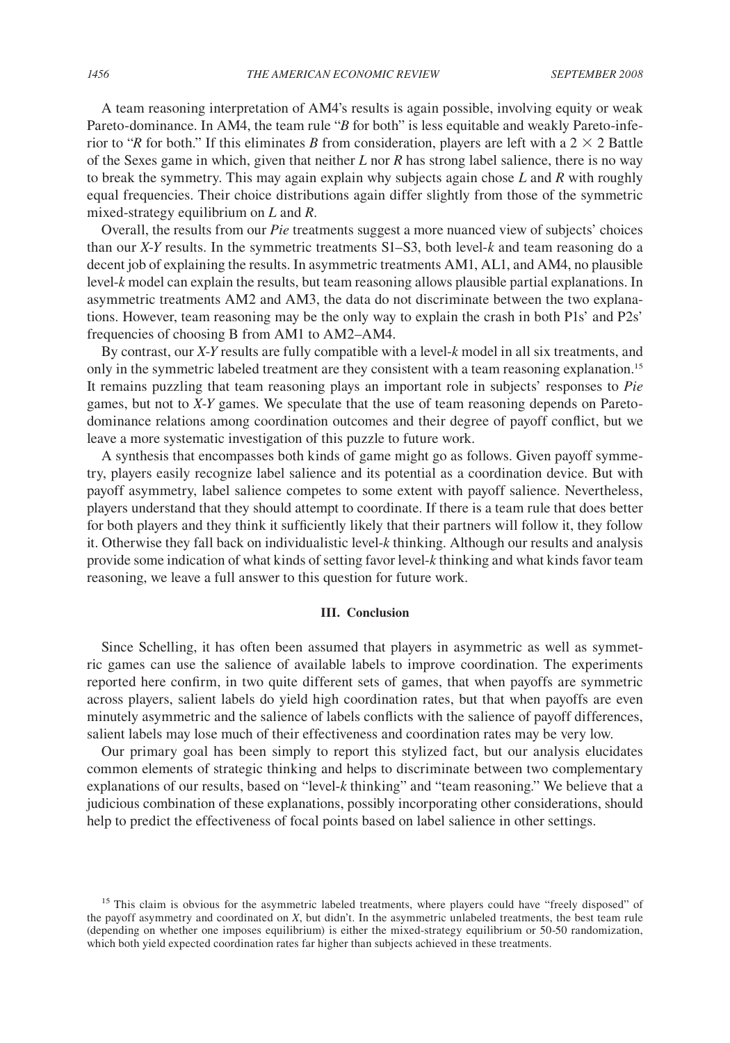A team reasoning interpretation of AM4's results is again possible, involving equity or weak Pareto-dominance. In AM4, the team rule "*B* for both" is less equitable and weakly Pareto-inferior to "*R* for both." If this eliminates *B* from consideration, players are left with a  $2 \times 2$  Battle of the Sexes game in which, given that neither *L* nor *R* has strong label salience, there is no way to break the symmetry. This may again explain why subjects again chose *L* and *R* with roughly equal frequencies. Their choice distributions again differ slightly from those of the symmetric mixed-strategy equilibrium on *L* and *R*.

Overall, the results from our *Pie* treatments suggest a more nuanced view of subjects' choices than our *X*-*Y* results. In the symmetric treatments S1–S3, both level-*k* and team reasoning do a decent job of explaining the results. In asymmetric treatments AM1, AL1, and AM4, no plausible level-*k* model can explain the results, but team reasoning allows plausible partial explanations. In asymmetric treatments AM2 and AM3, the data do not discriminate between the two explanations. However, team reasoning may be the only way to explain the crash in both P1s' and P2s' frequencies of choosing B from AM1 to AM2–AM4.

By contrast, our *X*-*Y* results are fully compatible with a level-*k* model in all six treatments, and only in the symmetric labeled treatment are they consistent with a team reasoning explanation.15 It remains puzzling that team reasoning plays an important role in subjects' responses to *Pie* games, but not to *X*-*Y* games. We speculate that the use of team reasoning depends on Paretodominance relations among coordination outcomes and their degree of payoff conflict, but we leave a more systematic investigation of this puzzle to future work.

A synthesis that encompasses both kinds of game might go as follows. Given payoff symmetry, players easily recognize label salience and its potential as a coordination device. But with payoff asymmetry, label salience competes to some extent with payoff salience. Nevertheless, players understand that they should attempt to coordinate. If there is a team rule that does better for both players and they think it sufficiently likely that their partners will follow it, they follow it. Otherwise they fall back on individualistic level-*k* thinking. Although our results and analysis provide some indication of what kinds of setting favor level-*k* thinking and what kinds favor team reasoning, we leave a full answer to this question for future work.

#### **III. Conclusion**

Since Schelling, it has often been assumed that players in asymmetric as well as symmetric games can use the salience of available labels to improve coordination. The experiments reported here confirm, in two quite different sets of games, that when payoffs are symmetric across players, salient labels do yield high coordination rates, but that when payoffs are even minutely asymmetric and the salience of labels conflicts with the salience of payoff differences, salient labels may lose much of their effectiveness and coordination rates may be very low.

Our primary goal has been simply to report this stylized fact, but our analysis elucidates common elements of strategic thinking and helps to discriminate between two complementary explanations of our results, based on "level-*k* thinking" and "team reasoning." We believe that a judicious combination of these explanations, possibly incorporating other considerations, should help to predict the effectiveness of focal points based on label salience in other settings.

<sup>&</sup>lt;sup>15</sup> This claim is obvious for the asymmetric labeled treatments, where players could have "freely disposed" of the payoff asymmetry and coordinated on *X*, but didn't. In the asymmetric unlabeled treatments, the best team rule (depending on whether one imposes equilibrium) is either the mixed-strategy equilibrium or 50-50 randomization, which both yield expected coordination rates far higher than subjects achieved in these treatments.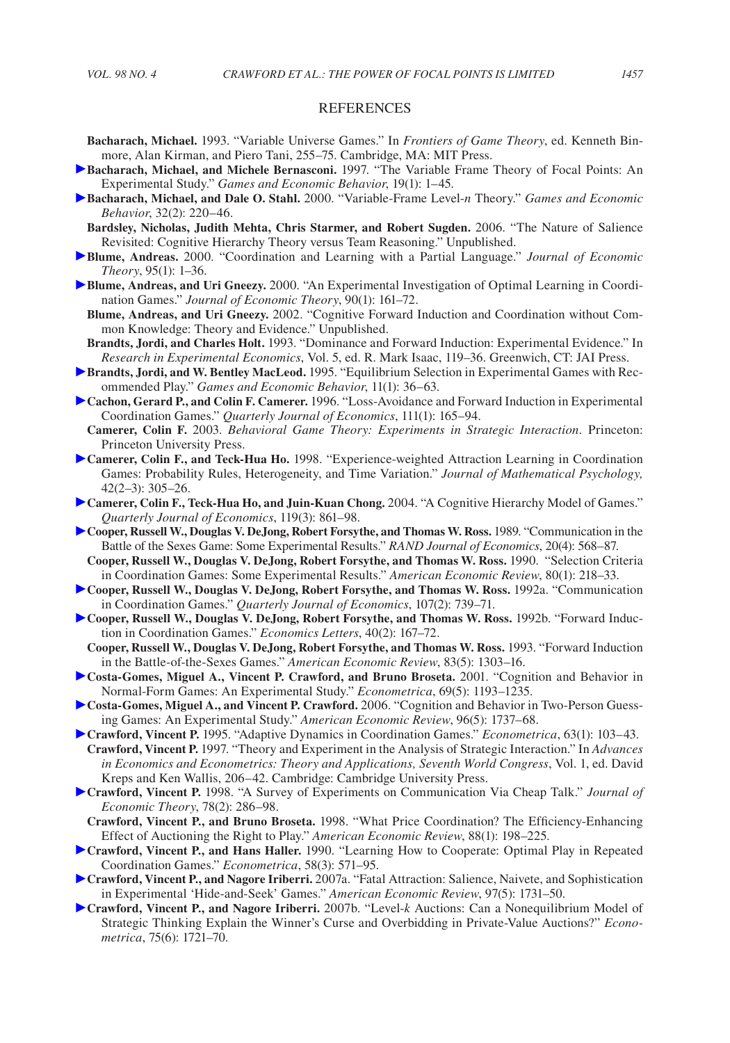#### **REFERENCES**

- **Bacharach, Michael.** 1993. "Variable Universe Games." In *Frontiers of Game Theory*, ed. Kenneth Binmore, Alan Kirman, and Piero Tani, 255–75. Cambridge, MA: MIT Press.
- **Bacharach, Michael, and Michele Bernasconi.** 1997. "The Variable Frame Theory of Focal Points: An Experimental Study." *Games and Economic Behavior*, 19(1): 1–45.
- **Bacharach, Michael, and Dale O. Stahl.** 2000. "Variable-Frame Level-*n* Theory." *Games and Economic Behavior*, 32(2): 220–46.
	- **Bardsley, Nicholas, Judith Mehta, Chris Starmer, and Robert Sugden.** 2006. "The Nature of Salience Revisited: Cognitive Hierarchy Theory versus Team Reasoning." Unpublished.
- **Blume, Andreas.** 2000. "Coordination and Learning with a Partial Language." *Journal of Economic Theory*, 95(1): 1–36.
- **Blume, Andreas, and Uri Gneezy.** 2000. "An Experimental Investigation of Optimal Learning in Coordination Games." *Journal of Economic Theory*, 90(1): 161–72.
	- **Blume, Andreas, and Uri Gneezy.** 2002. "Cognitive Forward Induction and Coordination without Common Knowledge: Theory and Evidence." Unpublished.
	- **Brandts, Jordi, and Charles Holt.** 1993. "Dominance and Forward Induction: Experimental Evidence." In *Research in Experimental Economics*, Vol. 5, ed. R. Mark Isaac, 119–36. Greenwich, CT: JAI Press.
- **Brandts, Jordi, and W. Bentley MacLeod.** 1995. "Equilibrium Selection in Experimental Games with Recommended Play." *Games and Economic Behavior*, 11(1): 36–63.
- **Cachon, Gerard P., and Colin F. Camerer.** 1996. "Loss-Avoidance and Forward Induction in Experimental Coordination Games." *Quarterly Journal of Economics*, 111(1): 165–94.
- **Camerer, Colin F.** 2003. *Behavioral Game Theory: Experiments in Strategic Interaction.* Princeton: Princeton University Press.
- **Camerer, Colin F., and Teck-Hua Ho.** 1998. "Experience-weighted Attraction Learning in Coordination Games: Probability Rules, Heterogeneity, and Time Variation." *Journal of Mathematical Psychology,* 42(2–3): 305–26.
- **Camerer, Colin F., Teck-Hua Ho, and Juin-Kuan Chong.** 2004. "A Cognitive Hierarchy Model of Games." *Quarterly Journal of Economics*, 119(3): 861–98.
- **Cooper, Russell W., Douglas V. DeJong, Robert Forsythe, and Thomas W. Ross.** 1989. "Communication in the Battle of the Sexes Game: Some Experimental Results." *RAND Journal of Economics*, 20(4): 568–87.
- **Cooper, Russell W., Douglas V. DeJong, Robert Forsythe, and Thomas W. Ross.** 1990. "Selection Criteria in Coordination Games: Some Experimental Results." *American Economic Review*, 80(1): 218–33.
- **Cooper, Russell W., Douglas V. DeJong, Robert Forsythe, and Thomas W. Ross.** 1992a. "Communication in Coordination Games." *Quarterly Journal of Economics*, 107(2): 739–71.
- **Cooper, Russell W., Douglas V. DeJong, Robert Forsythe, and Thomas W. Ross.** 1992b. "Forward Induction in Coordination Games." *Economics Letters*, 40(2): 167–72.
- **Cooper, Russell W., Douglas V. DeJong, Robert Forsythe, and Thomas W. Ross.** 1993. "Forward Induction in the Battle-of-the-Sexes Games." *American Economic Review*, 83(5): 1303–16.
- **Costa-Gomes, Miguel A., Vincent P. Crawford, and Bruno Broseta.** 2001. "Cognition and Behavior in Normal-Form Games: An Experimental Study." *Econometrica*, 69(5): 1193–1235.
- **Costa-Gomes, Miguel A., and Vincent P. Crawford.** 2006. "Cognition and Behavior in Two-Person Guessing Games: An Experimental Study." *American Economic Review*, 96(5): 1737–68.
- **Crawford, Vincent P.** 1995. "Adaptive Dynamics in Coordination Games." *Econometrica*, 63(1): 103–43. **Crawford, Vincent P.** 1997. "Theory and Experiment in the Analysis of Strategic Interaction." In *Advances in Economics and Econometrics: Theory and Applications, Seventh World Congress*, Vol. 1, ed. David Kreps and Ken Wallis, 206–42. Cambridge: Cambridge University Press.
- **Crawford, Vincent P.** 1998. "A Survey of Experiments on Communication Via Cheap Talk." *Journal of Economic Theory*, 78(2): 286–98.
- **Crawford, Vincent P., and Bruno Broseta.** 1998. "What Price Coordination? The Efficiency-Enhancing Effect of Auctioning the Right to Play." *American Economic Review*, 88(1): 198–225.
- **Crawford, Vincent P., and Hans Haller.** 1990. "Learning How to Cooperate: Optimal Play in Repeated Coordination Games." *Econometrica*, 58(3): 571–95.
- **Crawford, Vincent P., and Nagore Iriberri.** 2007a. "Fatal Attraction: Salience, Naivete, and Sophistication in Experimental 'Hide-and-Seek' Games." *American Economic Review*, 97(5): 1731–50.
- **Crawford, Vincent P., and Nagore Iriberri.** 2007b. "Level-*k* Auctions: Can a Nonequilibrium Model of Strategic Thinking Explain the Winner's Curse and Overbidding in Private-Value Auctions?" *Econometrica*, 75(6): 1721–70.